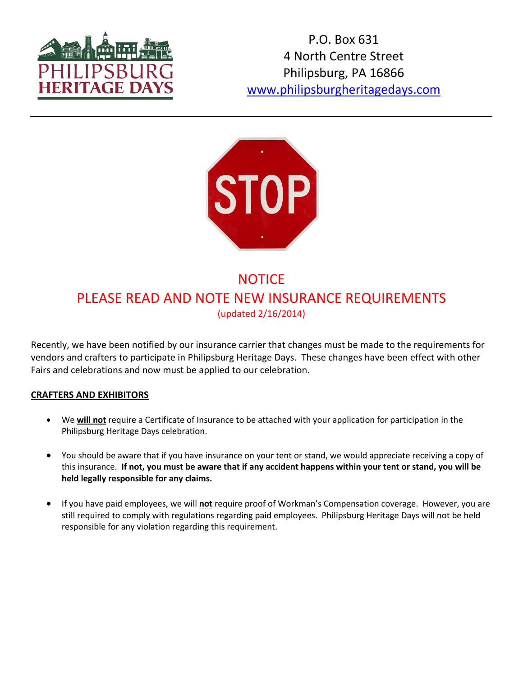

P.O. Box 631 4 North Centre Street Philipsburg, PA 16866 www.philipsburgheritagedays.com



# **NOTICE** PLEASE READ AND NOTE NEW INSURANCE REQUIREMENTS (updated 2/16/2014)

Recently, we have been notified by our insurance carrier that changes must be made to the requirements for vendors and crafters to participate in Philipsburg Heritage Days. These changes have been effect with other Fairs and celebrations and now must be applied to our celebration.

#### **CRAFTERS AND EXHIBITORS**

- We **will not** require a Certificate of Insurance to be attached with your application for participation in the Philipsburg Heritage Days celebration.
- You should be aware that if you have insurance on your tent or stand, we would appreciate receiving a copy of this insurance. **If not, you must be aware that if any accident happens within your tent or stand, you will be held legally responsible for any claims.**
- If you have paid employees, we will **not** require proof of Workman's Compensation coverage. However, you are still required to comply with regulations regarding paid employees. Philipsburg Heritage Days will not be held responsible for any violation regarding this requirement.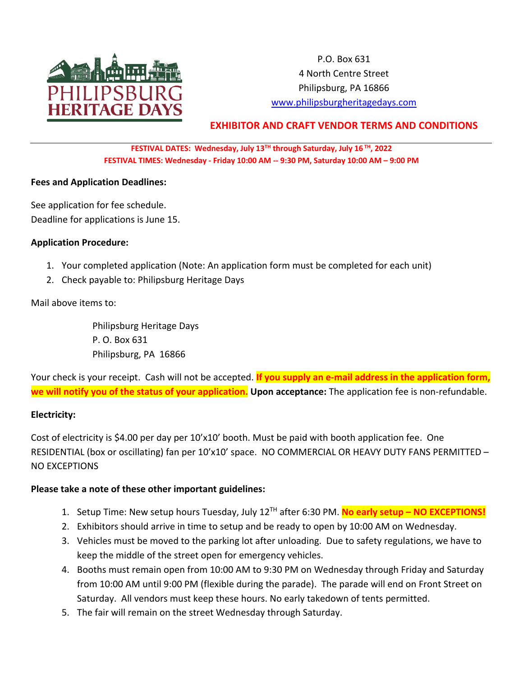

P.O. Box 631 4 North Centre Street Philipsburg, PA 16866 www.philipsburgheritagedays.com

# **EXHIBITOR AND CRAFT VENDOR TERMS AND CONDITIONS**

#### **FESTIVAL DATES: Wednesday, July 13TH through Saturday, July 16 TH, 2022 FESTIVAL TIMES: Wednesday - Friday 10:00 AM -- 9:30 PM, Saturday 10:00 AM – 9:00 PM**

#### **Fees and Application Deadlines:**

See application for fee schedule. Deadline for applications is June 15.

#### **Application Procedure:**

- 1. Your completed application (Note: An application form must be completed for each unit)
- 2. Check payable to: Philipsburg Heritage Days

Mail above items to:

Philipsburg Heritage Days P. O. Box 631 Philipsburg, PA 16866

Your check is your receipt. Cash will not be accepted. **If you supply an e-mail address in the application form, we will notify you of the status of your application. Upon acceptance:** The application fee is non-refundable.

#### **Electricity:**

Cost of electricity is \$4.00 per day per 10'x10' booth. Must be paid with booth application fee. One RESIDENTIAL (box or oscillating) fan per 10'x10' space. NO COMMERCIAL OR HEAVY DUTY FANS PERMITTED – NO EXCEPTIONS

#### **Please take a note of these other important guidelines:**

- 1. Setup Time: New setup hours Tuesday, July 12TH after 6:30 PM. **No early setup – NO EXCEPTIONS!**
- 2. Exhibitors should arrive in time to setup and be ready to open by 10:00 AM on Wednesday.
- 3. Vehicles must be moved to the parking lot after unloading. Due to safety regulations, we have to keep the middle of the street open for emergency vehicles.
- 4. Booths must remain open from 10:00 AM to 9:30 PM on Wednesday through Friday and Saturday from 10:00 AM until 9:00 PM (flexible during the parade). The parade will end on Front Street on Saturday. All vendors must keep these hours. No early takedown of tents permitted.
- 5. The fair will remain on the street Wednesday through Saturday.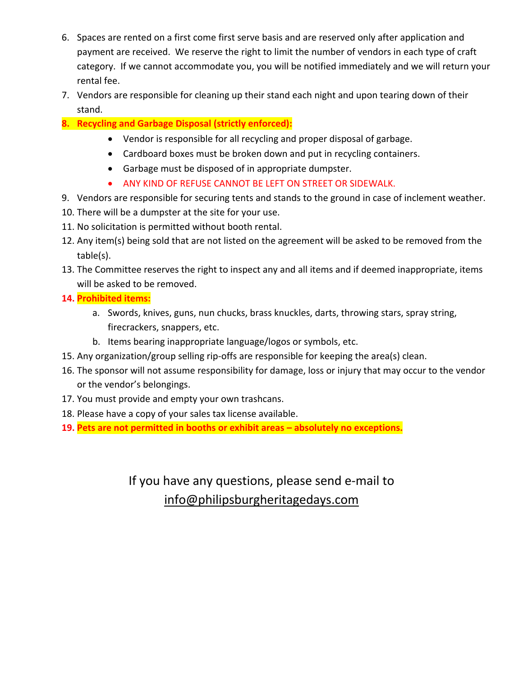- 6. Spaces are rented on a first come first serve basis and are reserved only after application and payment are received. We reserve the right to limit the number of vendors in each type of craft category. If we cannot accommodate you, you will be notified immediately and we will return your rental fee.
- 7. Vendors are responsible for cleaning up their stand each night and upon tearing down of their stand.
- **8. Recycling and Garbage Disposal (strictly enforced):**
	- Vendor is responsible for all recycling and proper disposal of garbage.
	- Cardboard boxes must be broken down and put in recycling containers.
	- Garbage must be disposed of in appropriate dumpster.
	- ANY KIND OF REFUSE CANNOT BE LEFT ON STREET OR SIDEWALK.
- 9. Vendors are responsible for securing tents and stands to the ground in case of inclement weather.
- 10. There will be a dumpster at the site for your use.
- 11. No solicitation is permitted without booth rental.
- 12. Any item(s) being sold that are not listed on the agreement will be asked to be removed from the table(s).
- 13. The Committee reserves the right to inspect any and all items and if deemed inappropriate, items will be asked to be removed.
- **14. Prohibited items:**
	- a. Swords, knives, guns, nun chucks, brass knuckles, darts, throwing stars, spray string, firecrackers, snappers, etc.
	- b. Items bearing inappropriate language/logos or symbols, etc.
- 15. Any organization/group selling rip-offs are responsible for keeping the area(s) clean.
- 16. The sponsor will not assume responsibility for damage, loss or injury that may occur to the vendor or the vendor's belongings.
- 17. You must provide and empty your own trashcans.
- 18. Please have a copy of your sales tax license available.
- **19. Pets are not permitted in booths or exhibit areas – absolutely no exceptions.**

If you have any questions, please send e-mail to info@philipsburgheritagedays.com